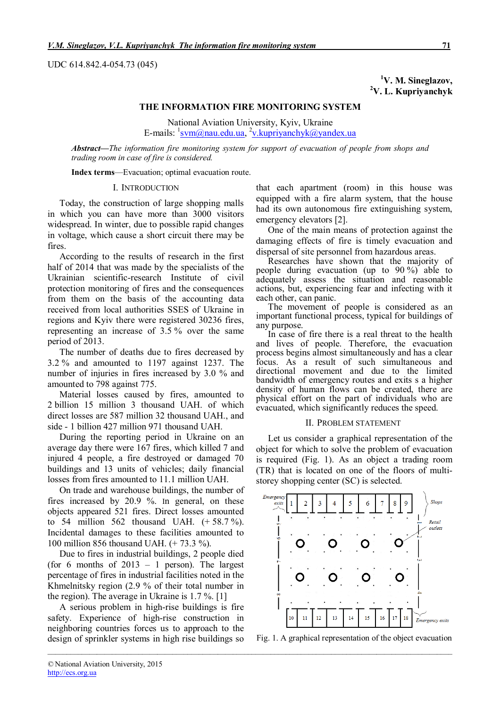UDC 614.842.4-054.73 (045)

**<sup>1</sup>V. M. Sineglazov, <sup>2</sup>V. L. Kupriyanchyk**

# **THE INFORMATION FIRE MONITORING SYSTEM**

National Aviation University, Kyiv, Ukraine E-mails: <sup>1</sup>svm@nau.edu.ua, <sup>2</sup>v.kupriyanchyk@yandex.ua

*Abstract***—***The information fire monitoring system for support of evacuation of people from shops and trading room in case of fire is considered.*

*\_\_\_\_\_\_\_\_\_\_\_\_\_\_\_\_\_\_\_\_\_\_\_\_\_\_\_\_\_\_\_\_\_\_\_\_\_\_\_\_\_\_\_\_\_\_\_\_\_\_\_\_\_\_\_\_\_\_\_\_\_\_\_\_\_\_\_\_\_\_\_\_\_\_\_\_\_\_\_\_\_\_\_\_\_\_\_\_\_\_\_\_\_\_\_\_\_\_\_\_\_\_\_\_\_\_\_*

**Index terms**—Evacuation; optimal evacuation route.

#### I. INTRODUCTION

Today, the construction of large shopping malls in which you can have more than 3000 visitors widespread. In winter, due to possible rapid changes in voltage, which cause a short circuit there may be fires.

According to the results of research in the first half of 2014 that was made by the specialists of the Ukrainian scientific-research Institute of civil protection monitoring of fires and the consequences from them on the basis of the accounting data received from local authorities SSES of Ukraine in regions and Kyiv there were registered 30236 fires, representing an increase of 3.5 % over the same period of 2013.

The number of deaths due to fires decreased by 3.2 % and amounted to 1197 against 1237. The number of injuries in fires increased by 3.0 % and amounted to 798 against 775.

Material losses caused by fires, amounted to 2 billion 15 million 3 thousand UAH. of which direct losses are 587 million 32 thousand UAH., and side - 1 billion 427 million 971 thousand UAH.

During the reporting period in Ukraine on an average day there were 167 fires, which killed 7 and injured 4 people, a fire destroyed or damaged 70 buildings and 13 units of vehicles; daily financial losses from fires amounted to 11.1 million UAH.

On trade and warehouse buildings, the number of fires increased by 20.9 %. In general, on these objects appeared 521 fires. Direct losses amounted to 54 million 562 thousand UAH.  $(+58.7\%)$ . Incidental damages to these facilities amounted to 100 million 856 thousand UAH. (+ 73.3 %).

Due to fires in industrial buildings, 2 people died (for 6 months of 2013 – 1 person). The largest percentage of fires in industrial facilities noted in the Khmelnitsky region (2.9 % of their total number in the region). The average in Ukraine is 1.7 %. [1]

A serious problem in high-rise buildings is fire safety. Experience of high-rise construction in neighboring countries forces us to approach to the design of sprinkler systems in high rise buildings so

that each apartment (room) in this house was equipped with a fire alarm system, that the house had its own autonomous fire extinguishing system, emergency elevators [2].

One of the main means of protection against the damaging effects of fire is timely evacuation and dispersal of site personnel from hazardous areas.

Researches have shown that the majority of people during evacuation (up to 90 %) able to adequately assess the situation and reasonable actions, but, experiencing fear and infecting with it each other, can panic.

The movement of people is considered as an important functional process, typical for buildings of any purpose.

In case of fire there is a real threat to the health and lives of people. Therefore, the evacuation process begins almost simultaneously and has a clear focus. As a result of such simultaneous and directional movement and due to the limited bandwidth of emergency routes and exits s a higher density of human flows can be created, there are physical effort on the part of individuals who are evacuated, which significantly reduces the speed.

#### II. PROBLEM STATEMENT

Let us consider a graphical representation of the object for which to solve the problem of evacuation is required (Fig. 1). As an object a trading room (TR) that is located on one of the floors of multistorey shopping center (SC) is selected.



Fig. 1. A graphical representation of the object evacuation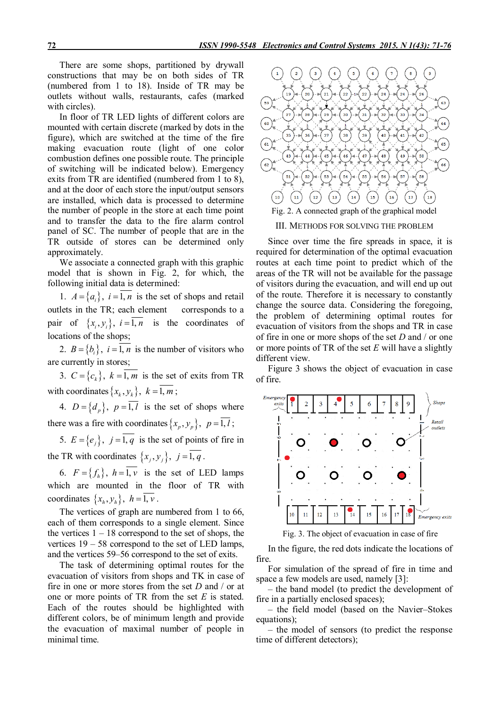There are some shops, partitioned by drywall constructions that may be on both sides of TR (numbered from 1 to 18). Inside of TR may be outlets without walls, restaurants, cafes (marked with circles).

In floor of TR LED lights of different colors are mounted with certain discrete (marked by dots in the figure), which are switched at the time of the fire making evacuation route (light of one color combustion defines one possible route. The principle of switching will be indicated below). Emergency exits from TR are identified (numbered from 1 to 8), and at the door of each store the input/output sensors are installed, which data is processed to determine the number of people in the store at each time point and to transfer the data to the fire alarm control panel of SC. The number of people that are in the TR outside of stores can be determined only approximately.

We associate a connected graph with this graphic model that is shown in Fig. 2, for which, the following initial data is determined:

1.  $A = \{a_i\}$ ,  $i = 1, n$  is the set of shops and retail outlets in the TR; each element corresponds to a pair of  $\{x_i, y_i\}$ ,  $i = 1, n$  is the coordinates of locations of the shops;

2.  $B = \{b_i\}$ ,  $i = 1, n$  is the number of visitors who are currently in stores;

3.  $C = \{c_k\}$ ,  $k = 1$ , *m* is the set of exits from TR with coordinates  $\{x_k, y_k\}$ ,  $k = \overline{1, m}$ ;

4.  $D = \{d_p\}$ ,  $p = 1, l$  is the set of shops where there was a fire with coordinates  $\{x_p, y_p\}$ ,  $p = 1, l$ ;

5.  $E = \{e_j\}$ ,  $j = 1, q$  is the set of points of fire in the TR with coordinates  $\{x_j, y_j\}$ ,  $j = \overline{1, q}$ .

6.  $F = \{f_h\}$ ,  $h = 1, v$  is the set of LED lamps which are mounted in the floor of TR with coordinates  $\{x_h, y_h\}$ ,  $h = 1, v$ .

The vertices of graph are numbered from 1 to 66, each of them corresponds to a single element. Since the vertices  $1 - 18$  correspond to the set of shops, the vertices 19 – 58 correspond to the set of LED lamps, and the vertices 59–56 correspond to the set of exits.

The task of determining optimal routes for the evacuation of visitors from shops and TK in case of fire in one or more stores from the set *D* and / or at one or more points of TR from the set *Е* is stated. Each of the routes should be highlighted with different colors, be of minimum length and provide the evacuation of maximal number of people in minimal time.



III. METHODS FOR SOLVING THE PROBLEM

Since over time the fire spreads in space, it is required for determination of the optimal evacuation routes at each time point to predict which of the areas of the TR will not be available for the passage of visitors during the evacuation, and will end up out of the route. Therefore it is necessary to constantly change the source data. Considering the foregoing, the problem of determining optimal routes for evacuation of visitors from the shops and TR in case of fire in one or more shops of the set *D* and / or one or more points of TR of the set *E* will have a slightly different view.

Figure 3 shows the object of evacuation in case of fire.



Fig. 3. The object of evacuation in case of fire

In the figure, the red dots indicate the locations of fire.

For simulation of the spread of fire in time and space a few models are used, namely [3]:

– the band model (to predict the development of fire in a partially enclosed spaces);

– the field model (based on the Navier–Stokes equations);

– the model of sensors (to predict the response time of different detectors);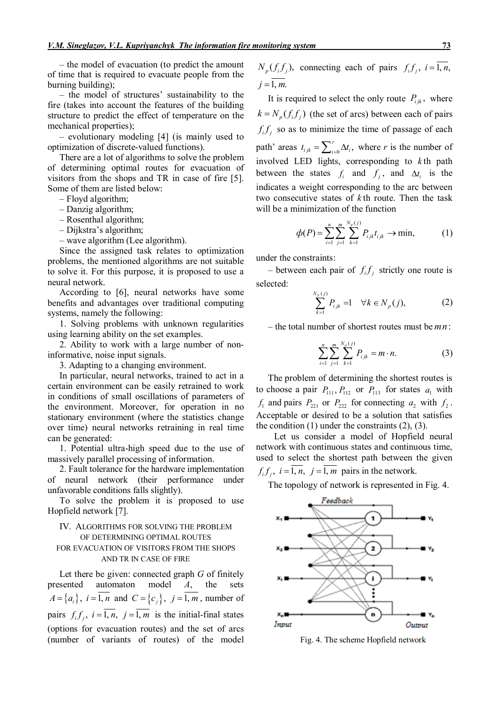– the model of evacuation (to predict the amount of time that is required to evacuate people from the burning building);

– the model of structures' sustainability to the fire (takes into account the features of the building structure to predict the effect of temperature on the mechanical properties);

– evolutionary modeling [4] (is mainly used to optimization of discrete-valued functions).

There are a lot of algorithms to solve the problem of determining optimal routes for evacuation of visitors from the shops and TR in case of fire [5]. Some of them are listed below:

– Floyd algorithm;

– Danzig algorithm;

– Rosenthal algorithm;

– Dijkstra's algorithm;

– wave algorithm (Lee algorithm).

Since the assigned task relates to optimization problems, the mentioned algorithms are not suitable to solve it. For this purpose, it is proposed to use a neural network.

According to [6], neural networks have some benefits and advantages over traditional computing systems, namely the following:

1. Solving problems with unknown regularities using learning ability on the set examples.

2. Ability to work with a large number of noninformative, noise input signals.

3. Adapting to a changing environment.

In particular, neural networks, trained to act in a certain environment can be easily retrained to work in conditions of small oscillations of parameters of the environment. Moreover, for operation in no stationary environment (where the statistics change over time) neural networks retraining in real time can be generated:

1. Potential ultra-high speed due to the use of massively parallel processing of information.

2. Fault tolerance for the hardware implementation of neural network (their performance under unfavorable conditions falls slightly).

To solve the problem it is proposed to use Hopfield network [7].

# IV. ALGORITHMS FOR SOLVING THE PROBLEM OF DETERMINING OPTIMAL ROUTES FOR EVACUATION OF VISITORS FROM THE SHOPS AND TR IN CASE OF FIRE

Let there be given: connected graph *G* of finitely presented automaton model *A*, the sets  $A = \{a_i\}, i = 1, n$  and  $C = \{c_j\}, j = 1, m$ , number of pairs  $f_i f_j$ ,  $i = \overline{1, n}$ ,  $j = \overline{1, m}$  is the initial-final states (options for evacuation routes) and the set of arcs (number of variants of routes) of the model

 $N_p(f_i f_j)$ , connecting each of pairs  $f_i f_j$ ,  $i = \overline{1, n}$ ,  $i = \overline{1, m}$ .

It is required to select the only route  $P_{ijk}$ , where  $k = N_n(f_i f_j)$  (the set of arcs) between each of pairs  $f_i f_j$  so as to minimize the time of passage of each path' areas  $t_{ijk} = \sum_{i=0}^{r} \Delta t_i$ ,  $t_{ijk} = \sum_{i=0}^{r} \Delta t_i$ , where *r* is the number of involved LED lights, corresponding to *k*.th path between the states  $f_i$  and  $f_j$ , and  $\Delta t_i$  is the indicates a weight corresponding to the arc between two consecutive states of *k*.th route. Then the task will be a minimization of the function

$$
\phi(P) = \sum_{i=1}^{n} \sum_{j=1}^{m} \sum_{k=1}^{N_p(j)} P_{ijk} t_{ijk} \to \min,
$$
 (1)

under the constraints:

– between each pair of  $f_i f_j$  strictly one route is selected:

$$
\sum_{k=1}^{N_p(j)} P_{ijk} = 1 \quad \forall k \in N_p(j),
$$
 (2)

– the total number of shortest routes must be *mn*:

$$
\sum_{i=1}^{n} \sum_{j=1}^{m} \sum_{k=1}^{N_p(j)} P_{ijk} = m \cdot n.
$$
 (3)

The problem of determining the shortest routes is to choose a pair  $P_{111}$ ,  $P_{112}$  or  $P_{113}$  for states  $a_1$  with  $f_1$  and pairs  $P_{221}$  or  $P_{222}$  for connecting  $a_2$  with  $f_2$ . Acceptable or desired to be a solution that satisfies the condition  $(1)$  under the constraints  $(2)$ ,  $(3)$ .

Let us consider a model of Hopfield neural network with continuous states and continuous time, used to select the shortest path between the given  $f_i f_j$ ,  $i = 1, n$ ,  $j = 1, m$  pairs in the network.

The topology of network is represented in Fig. 4.



Fig. 4. The scheme Hopfield network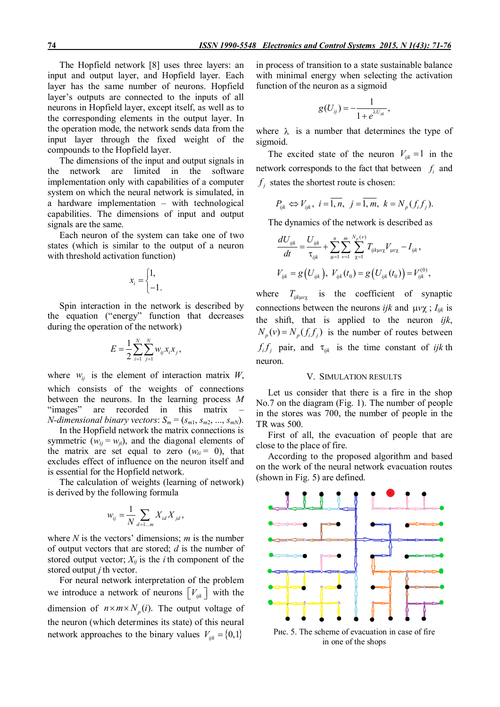The Hopfield network [8] uses three layers: an input and output layer, and Hopfield layer. Each layer has the same number of neurons. Hopfield layer's outputs are connected to the inputs of all neurons in Hopfield layer, except itself, as well as to the corresponding elements in the output layer. In the operation mode, the network sends data from the input layer through the fixed weight of the compounds to the Hopfield layer.

The dimensions of the input and output signals in the network are limited in the software implementation only with capabilities of a computer system on which the neural network is simulated, in a hardware implementation – with technological capabilities. The dimensions of input and output signals are the same.

Each neuron of the system can take one of two states (which is similar to the output of a neuron with threshold activation function)

$$
x_i = \begin{cases} 1, \\ -1. \end{cases}
$$

Spin interaction in the network is described by the equation ("energy" function that decreases during the operation of the network)

$$
E = \frac{1}{2} \sum_{i=1}^{N} \sum_{j=1}^{N} w_{ij} x_i x_j,
$$

where  $w_{ij}$  is the element of interaction matrix *W*, which consists of the weights of connections between the neurons. In the learning process *M*<br>"images" are recorded in this matrix – are recorded in this matrix *N*-dimensional binary vectors:  $S_m = (s_{m1}, s_{m2}, ..., s_{mN})$ .

In the Hopfield network the matrix connections is symmetric  $(w_{ij} = w_{ji})$ , and the diagonal elements of the matrix are set equal to zero  $(w_{ii} = 0)$ , that excludes effect of influence on the neuron itself and is essential for the Hopfield network.

The calculation of weights (learning of network) is derived by the following formula

$$
w_{ij} = \frac{1}{N} \sum_{d=1...m} X_{id} X_{jd},
$$

where *N* is the vectors' dimensions; *m* is the number of output vectors that are stored; *d* is the number of stored output vector;  $X_{ij}$  is the *i*th component of the stored output *j* th vector.

For neural network interpretation of the problem we introduce a network of neurons  $\begin{bmatrix} V_{ijk} \end{bmatrix}$  with the dimension of  $n \times m \times N_p(i)$ . The output voltage of the neuron (which determines its state) of this neural network approaches to the binary values  $V_{ijk} = \{0,1\}$ 

in process of transition to a state sustainable balance with minimal energy when selecting the activation function of the neuron as a sigmoid

$$
g(U_{ij})=-\frac{1}{1+e^{\lambda U_{ijk}}},
$$

where  $\lambda$  is a number that determines the type of sigmoid.

The excited state of the neuron  $V_{ijk} = 1$  in the network corresponds to the fact that between  $f_i$  and  $f_j$  states the shortest route is chosen:

$$
P_{ijk} \Leftrightarrow V_{ijk}, i = \overline{1, n}, j = \overline{1, m}, k = N_p(f_i f_j).
$$

The dynamics of the network is described as

$$
\frac{dU_{ijk}}{dt} = \frac{U_{ijk}}{\tau_{ijk}} + \sum_{\mu=1}^{n} \sum_{\nu=1}^{m} \sum_{\chi=1}^{N_p(\nu)} T_{ijk\mu\nu\chi} V_{\mu\nu\chi} - I_{ijk},
$$
  

$$
V_{ijk} = g(U_{ijk}), V_{ijk}(t_0) = g(U_{ijk}(t_0)) = V_{ijk}^{(0)},
$$

where  $T_{ijk\mu\nu\chi}$  is the coefficient of synaptic connections between the neurons *ijk* and  $\mu v \chi$ ;  $I_{ijk}$  is the shift, that is applied to the neuron *ijk*,  $N_p(v) = N_p(f_i f_j)$  is the number of routes between  $f_i f_j$  pair, and  $\tau_{ijk}$  is the time constant of *ijk* th neuron.

### V. SIMULATION RESULTS

Let us consider that there is a fire in the shop No.7 on the diagram (Fig. 1). The number of people in the stores was 700, the number of people in the TR was 500.

First of all, the evacuation of people that are close to the place of fire.

According to the proposed algorithm and based on the work of the neural network evacuation routes (shown in Fig. 5) are defined.



Рис. 5. The scheme of evacuation in case of fire in one of the shops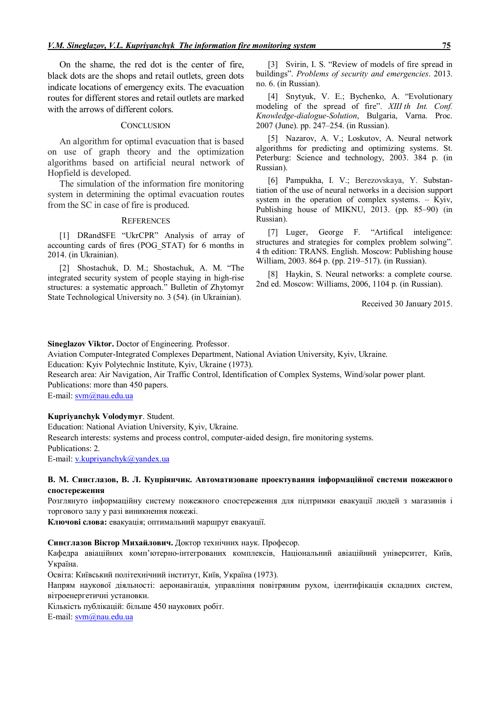On the shame, the red dot is the center of fire, black dots are the shops and retail outlets, green dots indicate locations of emergency exits. The evacuation routes for different stores and retail outlets are marked with the arrows of different colors.

### **CONCLUSION**

An algorithm for optimal evacuation that is based on use of graph theory and the optimization algorithms based on artificial neural network of Hopfield is developed.

The simulation of the information fire monitoring system in determining the optimal evacuation routes from the SC in case of fire is produced.

### **REFERENCES**

[1] DRandSFE "UkrCPR" Analysis of array of accounting cards of fires (POG\_STAT) for 6 months in 2014. (in Ukrainian).

[2] Shostachuk, D. M.; Shostachuk, A. М. "The integrated security system of people staying in high-rise structures: a systematic approach." Bulletin of Zhytomyr State Technological University no. 3 (54). (in Ukrainian).

[3] Svirin, I. S. "Review of models of fire spread in buildings". *Problems of security and emergencies*. 2013. no. 6. (in Russian).

[4] Snytyuk, V. E.; Bychenko, A. "Evolutionary modeling of the spread of fire". *XIII th Int. Conf. Knowledge-dialogue-Solution*, Bulgaria, Varna. Proc. 2007 (June). pp. 247–254. (in Russian).

[5] Nazarov, A. V.; Loskutov, A. Neural network algorithms for predicting and optimizing systems. St. Peterburg: Science and technology, 2003. 384 p. (in Russian).

[6] Pampukha, I. V.; Berezovskaya, Y. Substantiation of the use of neural networks in a decision support system in the operation of complex systems. – Kyiv, Publishing house of MIKNU, 2013. (pp. 85–90) (in Russian).

[7] Luger, George F. "Artifical inteligence: structures and strategies for complex problem solwing". 4.th edition: TRANS. English. Moscow: Publishing house William, 2003. 864 p. (pp. 219–517). (in Russian).

[8] Haykin, S. Neural networks: a complete course. 2nd ed. Moscow: Williams, 2006, 1104 p. (in Russian).

Received 30 January 2015.

# **Sineglazov Viktor.** Doctor of Engineering. Professor.

Aviation Computer-Integrated Complexes Department, National Aviation University, Kyiv, Ukraine. Education: Kyiv Polytechnic Institute, Kyiv, Ukraine (1973).

Research area: Air Navigation, Air Traffic Control, Identification of Complex Systems, Wind/solar power plant. Publications: more than 450 papers.

E-mail: svm@nau.edu.ua

# **Kupriyanchyk Volodymyr**. Student.

Education: National Aviation University, Kyiv, Ukraine.

Research interests: systems and process control, computer-aided design, fire monitoring systems.

Publications: 2.

E-mail: v.kupriyanchyk@yandex.ua

## **В. М. Синєглазов, В. Л. Купріянчик. Автоматизоване проектування інформаційної системи пожежного спостереження**

Розглянуто інформаційну систему пожежного спостереження для підтримки евакуації людей з магазинів і торгового залу у разі виникнення пожежі.

**Ключові слова:** евакуація; оптимальний маршрут евакуації.

## **Синєглазов Віктор Михайлович.** Доктор технічних наук. Професор.

Кафедра авіаційних комп'ютерно-інтегрованих комплексів, Національний авіаційний університет, Київ, Україна.

Освіта: Київський політехнічний інститут, Київ, Україна (1973).

Напрям наукової діяльності: аеронавігація, управління повітряним рухом, ідентифікація складних систем, вітроенергетичні установки.

Кількість публікацій: більше 450 наукових робіт.

E-mail: svm@nau.edu.ua